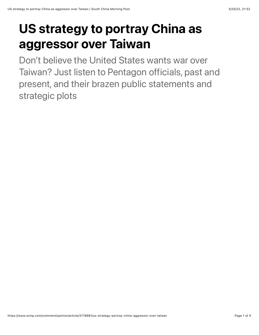# US strategy to portray China as aggressor over Taiwan

Don't believe the United States wants war over Taiwan? Just listen to Pentagon officials, past and present, and their brazen public statements and strategic plots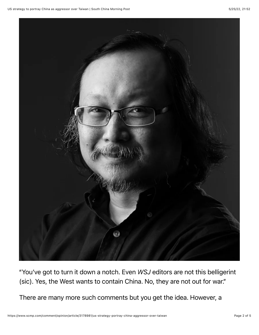

"You've got to turn it down a notch. Even *WSJ* editors are not this belligerint (sic). Yes, the West wants to contain China. No, they are not out for war."

There are many more such comments but you get the idea. However, a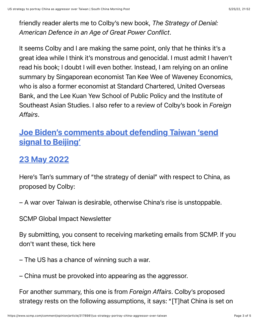friendly reader alerts me to Colby's new book, *The Strategy of Denial: American Defence in an Age of Great Power Conflict*.

It seems Colby and I are making the same point, only that he thinks it's a great idea while I think it's monstrous and genocidal. I must admit I haven't read his book; I doubt I will even bother. Instead, I am relying on an online summary by Singaporean economist Tan Kee Wee of Waveney Economics, who is also a former economist at Standard Chartered, United Overseas Bank, and the Lee Kuan Yew School of Public Policy and the Institute of Southeast Asian Studies. I also refer to a review of Colby's book in *Foreign Affairs*.

#### [Joe Biden's comments about defending Taiwan 'send](https://www.scmp.com/news/china/diplomacy/article/3178853/joe-bidens-comments-about-defending-taiwan-sends-signal?module=hard_link&pgtype=article) signal to Beijing'

### 23 May 2022

Here's Tan's summary of "the strategy of denial" with respect to China, as proposed by Colby:

– A war over Taiwan is desirable, otherwise China's rise is unstoppable.

SCMP Global Impact Newsletter

By submitting, you consent to receiving marketing emails from SCMP. If you don't want these, tick here

– The US has a chance of winning such a war.

– China must be provoked into appearing as the aggressor.

For another summary, this one is from *Foreign Affairs*. Colby's proposed strategy rests on the following assumptions, it says: "[T]hat China is set on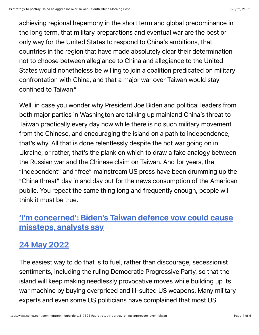achieving regional hegemony in the short term and global predominance in the long term, that military preparations and eventual war are the best or only way for the United States to respond to China's ambitions, that countries in the region that have made absolutely clear their determination not to choose between allegiance to China and allegiance to the United States would nonetheless be willing to join a coalition predicated on military confrontation with China, and that a major war over Taiwan would stay confined to Taiwan."

Well, in case you wonder why President Joe Biden and political leaders from both major parties in Washington are talking up mainland China's threat to Taiwan practically every day now while there is no such military movement from the Chinese, and encouraging the island on a path to independence, that's why. All that is done relentlessly despite the hot war going on in Ukraine; or rather, that's the plank on which to draw a fake analogy between the Russian war and the Chinese claim on Taiwan. And for years, the "independent" and "free" mainstream US press have been drumming up the "China threat" day in and day out for the news consumption of the American public. You repeat the same thing long and frequently enough, people will think it must be true.

#### ['I'm concerned': Biden's Taiwan defence vow could cause](https://www.scmp.com/news/china/article/3178874/joe-bidens-comments-us-defending-taiwan-could-cause-missteps-analysts?module=hard_link&pgtype=article) missteps, analysts say

## 24 May 2022

The easiest way to do that is to fuel, rather than discourage, secessionist sentiments, including the ruling Democratic Progressive Party, so that the island will keep making needlessly provocative moves while building up its war machine by buying overpriced and ill-suited US weapons. Many military experts and even some US politicians have complained that most US